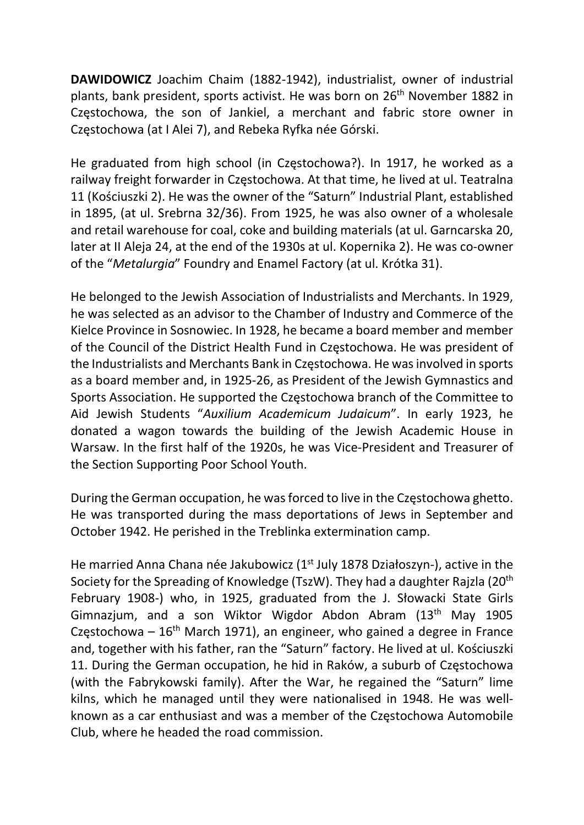DAWIDOWICZ Joachim Chaim (1882-1942), industrialist, owner of industrial plants, bank president, sports activist. He was born on 26<sup>th</sup> November 1882 in Częstochowa, the son of Jankiel, a merchant and fabric store owner in Częstochowa (at I Alei 7), and Rebeka Ryfka née Górski.

He graduated from high school (in Częstochowa?). In 1917, he worked as a railway freight forwarder in Częstochowa. At that time, he lived at ul. Teatralna 11 (Kościuszki 2). He was the owner of the "Saturn" Industrial Plant, established in 1895, (at ul. Srebrna 32/36). From 1925, he was also owner of a wholesale and retail warehouse for coal, coke and building materials (at ul. Garncarska 20, later at II Aleja 24, at the end of the 1930s at ul. Kopernika 2). He was co-owner of the "Metalurgia" Foundry and Enamel Factory (at ul. Krótka 31).

He belonged to the Jewish Association of Industrialists and Merchants. In 1929, he was selected as an advisor to the Chamber of Industry and Commerce of the Kielce Province in Sosnowiec. In 1928, he became a board member and member of the Council of the District Health Fund in Częstochowa. He was president of the Industrialists and Merchants Bank in Częstochowa. He was involved in sports as a board member and, in 1925-26, as President of the Jewish Gymnastics and Sports Association. He supported the Częstochowa branch of the Committee to Aid Jewish Students "Auxilium Academicum Judaicum". In early 1923, he donated a wagon towards the building of the Jewish Academic House in Warsaw. In the first half of the 1920s, he was Vice-President and Treasurer of the Section Supporting Poor School Youth.

During the German occupation, he was forced to live in the Częstochowa ghetto. He was transported during the mass deportations of Jews in September and October 1942. He perished in the Treblinka extermination camp.

He married Anna Chana née Jakubowicz ( $1<sup>st</sup>$  July 1878 Działoszyn-), active in the Society for the Spreading of Knowledge (TszW). They had a daughter Rajzla (20<sup>th</sup>) February 1908-) who, in 1925, graduated from the J. Słowacki State Girls Gimnazjum, and a son Wiktor Wigdor Abdon Abram (13<sup>th</sup> May 1905 Częstochowa –  $16<sup>th</sup>$  March 1971), an engineer, who gained a degree in France and, together with his father, ran the "Saturn" factory. He lived at ul. Kościuszki 11. During the German occupation, he hid in Raków, a suburb of Częstochowa (with the Fabrykowski family). After the War, he regained the "Saturn" lime kilns, which he managed until they were nationalised in 1948. He was wellknown as a car enthusiast and was a member of the Częstochowa Automobile Club, where he headed the road commission.